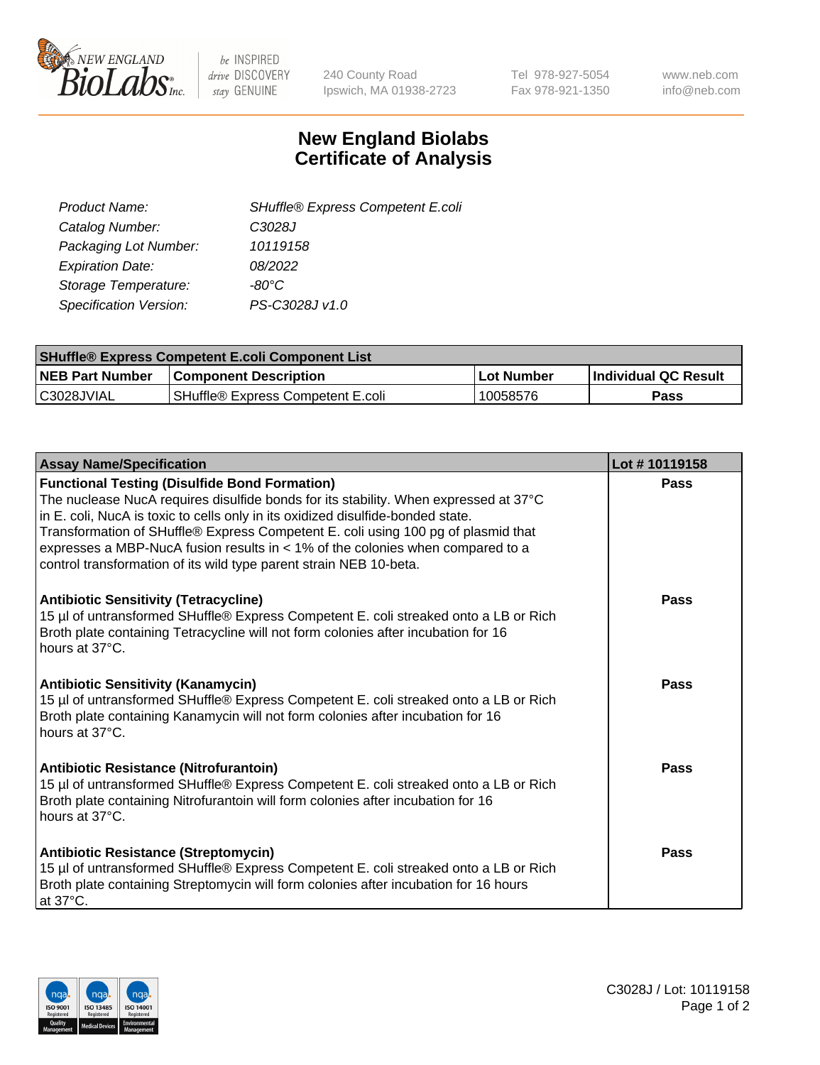

be INSPIRED drive DISCOVERY stay GENUINE

240 County Road Ipswich, MA 01938-2723 Tel 978-927-5054 Fax 978-921-1350 www.neb.com info@neb.com

## **New England Biolabs Certificate of Analysis**

| SHuffle® Express Competent E.coli |
|-----------------------------------|
| C3028J                            |
| 10119158                          |
| 08/2022                           |
| -80°C                             |
| PS-C3028J v1.0                    |
|                                   |

| <b>SHuffle® Express Competent E.coli Component List</b> |                                   |             |                       |  |
|---------------------------------------------------------|-----------------------------------|-------------|-----------------------|--|
| <b>NEB Part Number</b>                                  | <b>Component Description</b>      | ∣Lot Number | ∣Individual QC Result |  |
| IC3028JVIAL                                             | SHuffle® Express Competent E.coli | 10058576    | Pass                  |  |

| <b>Assay Name/Specification</b>                                                                                                                                                                                                                                                                                                                                                                                                                                                | Lot #10119158 |
|--------------------------------------------------------------------------------------------------------------------------------------------------------------------------------------------------------------------------------------------------------------------------------------------------------------------------------------------------------------------------------------------------------------------------------------------------------------------------------|---------------|
| <b>Functional Testing (Disulfide Bond Formation)</b><br>The nuclease NucA requires disulfide bonds for its stability. When expressed at 37°C<br>in E. coli, NucA is toxic to cells only in its oxidized disulfide-bonded state.<br>Transformation of SHuffle® Express Competent E. coli using 100 pg of plasmid that<br>expresses a MBP-NucA fusion results in $<$ 1% of the colonies when compared to a<br>control transformation of its wild type parent strain NEB 10-beta. | Pass          |
| <b>Antibiotic Sensitivity (Tetracycline)</b><br>15 µl of untransformed SHuffle® Express Competent E. coli streaked onto a LB or Rich<br>Broth plate containing Tetracycline will not form colonies after incubation for 16<br>hours at 37°C.                                                                                                                                                                                                                                   | Pass          |
| <b>Antibiotic Sensitivity (Kanamycin)</b><br>15 µl of untransformed SHuffle® Express Competent E. coli streaked onto a LB or Rich<br>Broth plate containing Kanamycin will not form colonies after incubation for 16<br>hours at 37°C.                                                                                                                                                                                                                                         | Pass          |
| <b>Antibiotic Resistance (Nitrofurantoin)</b><br>15 µl of untransformed SHuffle® Express Competent E. coli streaked onto a LB or Rich<br>Broth plate containing Nitrofurantoin will form colonies after incubation for 16<br>hours at 37°C.                                                                                                                                                                                                                                    | Pass          |
| <b>Antibiotic Resistance (Streptomycin)</b><br>15 µl of untransformed SHuffle® Express Competent E. coli streaked onto a LB or Rich<br>Broth plate containing Streptomycin will form colonies after incubation for 16 hours<br>at $37^{\circ}$ C.                                                                                                                                                                                                                              | Pass          |